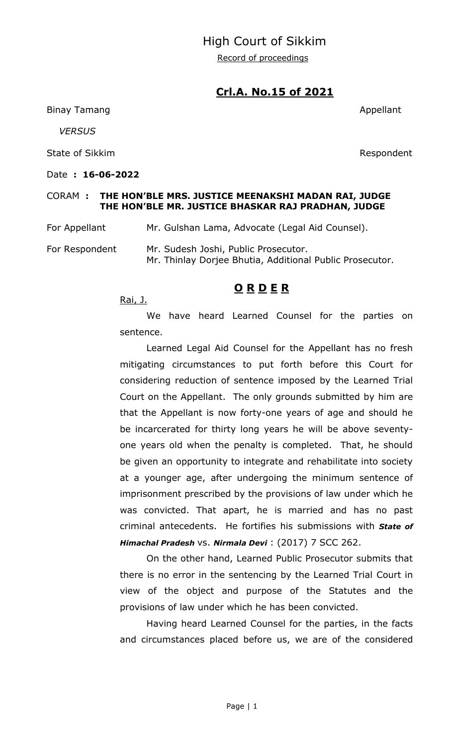#### High Court of Sikkim

Record of proceedings

### **Crl.A. No.15 of 2021**

Binay Tamang Appellant and the set of the set of the set of the set of the set of the set of the set of the set of the set of the set of the set of the set of the set of the set of the set of the set of the set of the set

 *VERSUS*

State of Sikkim **Respondent** 

Date **: 16-06-2022** 

# CORAM **: THE HON'BLE MRS. JUSTICE MEENAKSHI MADAN RAI, JUDGE THE HON'BLE MR. JUSTICE BHASKAR RAJ PRADHAN, JUDGE**

For Appellant Mr. Gulshan Lama, Advocate (Legal Aid Counsel).

For Respondent Mr. Sudesh Joshi, Public Prosecutor. Mr. Thinlay Dorjee Bhutia, Additional Public Prosecutor.

#### **O R D E R**

Rai, J.

We have heard Learned Counsel for the parties on sentence.

Learned Legal Aid Counsel for the Appellant has no fresh mitigating circumstances to put forth before this Court for considering reduction of sentence imposed by the Learned Trial Court on the Appellant. The only grounds submitted by him are that the Appellant is now forty-one years of age and should he be incarcerated for thirty long years he will be above seventyone years old when the penalty is completed. That, he should be given an opportunity to integrate and rehabilitate into society at a younger age, after undergoing the minimum sentence of imprisonment prescribed by the provisions of law under which he was convicted. That apart, he is married and has no past criminal antecedents. He fortifies his submissions with *State of Himachal Pradesh* vs. *Nirmala Devi* : (2017) 7 SCC 262.

On the other hand, Learned Public Prosecutor submits that there is no error in the sentencing by the Learned Trial Court in view of the object and purpose of the Statutes and the provisions of law under which he has been convicted.

Having heard Learned Counsel for the parties, in the facts and circumstances placed before us, we are of the considered